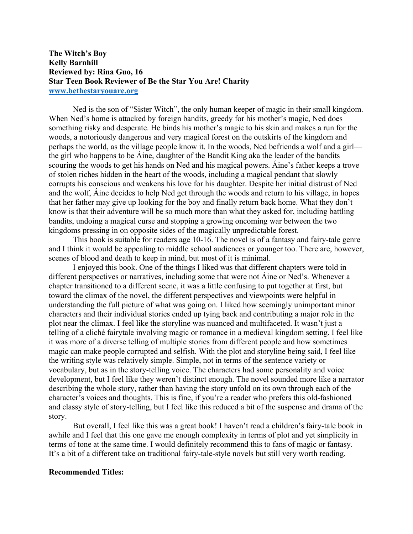## **The Witch's Boy Kelly Barnhill Reviewed by: Rina Guo, 16 Star Teen Book Reviewer of Be the Star You Are! Charity www.bethestaryouare.org**

Ned is the son of "Sister Witch", the only human keeper of magic in their small kingdom. When Ned's home is attacked by foreign bandits, greedy for his mother's magic, Ned does something risky and desperate. He binds his mother's magic to his skin and makes a run for the woods, a notoriously dangerous and very magical forest on the outskirts of the kingdom and perhaps the world, as the village people know it. In the woods, Ned befriends a wolf and a girl the girl who happens to be Áine, daughter of the Bandit King aka the leader of the bandits scouring the woods to get his hands on Ned and his magical powers. Áine's father keeps a trove of stolen riches hidden in the heart of the woods, including a magical pendant that slowly corrupts his conscious and weakens his love for his daughter. Despite her initial distrust of Ned and the wolf, Áine decides to help Ned get through the woods and return to his village, in hopes that her father may give up looking for the boy and finally return back home. What they don't know is that their adventure will be so much more than what they asked for, including battling bandits, undoing a magical curse and stopping a growing oncoming war between the two kingdoms pressing in on opposite sides of the magically unpredictable forest.

This book is suitable for readers age 10-16. The novel is of a fantasy and fairy-tale genre and I think it would be appealing to middle school audiences or younger too. There are, however, scenes of blood and death to keep in mind, but most of it is minimal.

I enjoyed this book. One of the things I liked was that different chapters were told in different perspectives or narratives, including some that were not Áine or Ned's. Whenever a chapter transitioned to a different scene, it was a little confusing to put together at first, but toward the climax of the novel, the different perspectives and viewpoints were helpful in understanding the full picture of what was going on. I liked how seemingly unimportant minor characters and their individual stories ended up tying back and contributing a major role in the plot near the climax. I feel like the storyline was nuanced and multifaceted. It wasn't just a telling of a cliché fairytale involving magic or romance in a medieval kingdom setting. I feel like it was more of a diverse telling of multiple stories from different people and how sometimes magic can make people corrupted and selfish. With the plot and storyline being said, I feel like the writing style was relatively simple. Simple, not in terms of the sentence variety or vocabulary, but as in the story-telling voice. The characters had some personality and voice development, but I feel like they weren't distinct enough. The novel sounded more like a narrator describing the whole story, rather than having the story unfold on its own through each of the character's voices and thoughts. This is fine, if you're a reader who prefers this old-fashioned and classy style of story-telling, but I feel like this reduced a bit of the suspense and drama of the story.

But overall, I feel like this was a great book! I haven't read a children's fairy-tale book in awhile and I feel that this one gave me enough complexity in terms of plot and yet simplicity in terms of tone at the same time. I would definitely recommend this to fans of magic or fantasy. It's a bit of a different take on traditional fairy-tale-style novels but still very worth reading.

## **Recommended Titles:**